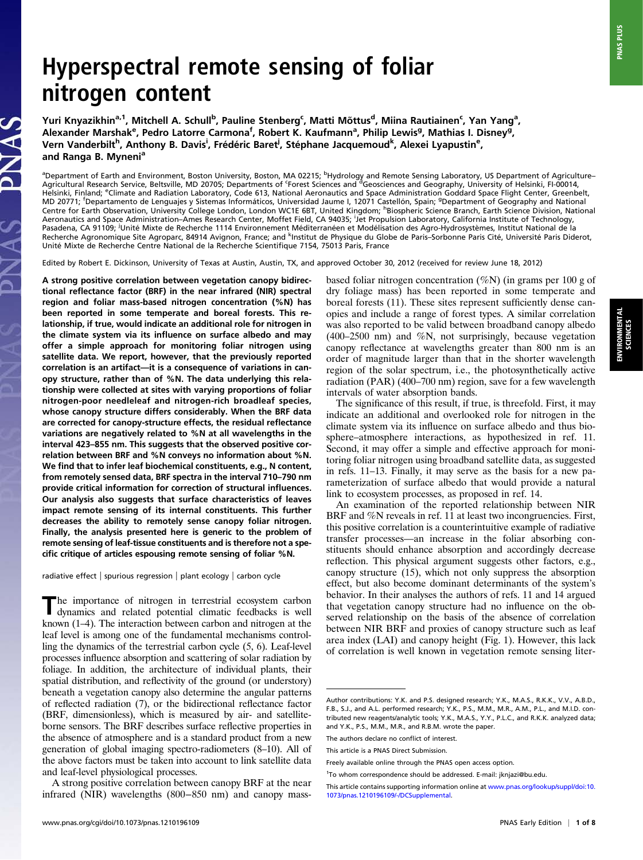# Hyperspectral remote sensing of foliar

nitrogen content Yuri Knyazikhina,1, Mitchell A. Schullb , Pauline Stenbergc , Matti Mõttusd , Miina Rautiainenc , Yan Yang<sup>a</sup> , Alexander Marshak<sup>e</sup>, Pedro Latorre Carmona<sup>f</sup>, Robert K. Kaufmann<sup>a</sup>, Philip Lewis<sup>g</sup>, Mathias I. Disney<sup>g</sup>, Vern Vanderbilt<sup>h</sup>, Anthony B. Davis<sup>i</sup>, Frédéric Baret<sup>j</sup>, Stéphane Jacquemoud<sup>k</sup>, Alexei Lyapustin<sup>e</sup>, and Ranga B. Myneni<sup>a</sup>

<sup>a</sup>Department of Earth and Environment, Boston University, Boston, MA 02215; <sup>b</sup>Hydrology and Remote Sensing Laboratory, US Department of Agriculture–<br>Agricultural Research Service, Beltsville, MD 20705; Departments of ʿFo Helsinki, Finland; <sup>e</sup>Climate and Radiation Laboratory, Code 613, National Aeronautics and Space Administration Goddard Space Flight Center, Greenbelt, MD 20771; <sup>f</sup>Departamento de Lenguajes y Sistemas Informáticos, Universidad Jaume I, 12071 Castellón, Spain; <sup>9</sup>Department of Geography and National Centre for Earth Observation, University College London, London WC1E 6BT, United Kingdom; <sup>h</sup>Biospheric Science Branch, Earth Science Division, National Aeronautics and Space Administration–Ames Research Center, Moffet Field, CA 94035; <sup>i</sup>Jet Propulsion Laboratory, California Institute of Technology, Pasadena, CA 91109; <sup>j</sup>Unité Mixte de Recherche 1114 Environnement Méditerranéen et Modélisation des Agro-Hydrosystèmes, Institut National de la Recherche Agronomique Site Agroparc, 84914 Avignon, France; and <sup>k</sup>Institut de Physique du Globe de Paris–Sorbonne Paris Cité, Université Paris Diderot, Unité Mixte de Recherche Centre National de la Recherche Scientifique 7154, 75013 Paris, France

Edited by Robert E. Dickinson, University of Texas at Austin, Austin, TX, and approved October 30, 2012 (received for review June 18, 2012)

A strong positive correlation between vegetation canopy bidirectional reflectance factor (BRF) in the near infrared (NIR) spectral region and foliar mass-based nitrogen concentration (%N) has been reported in some temperate and boreal forests. This relationship, if true, would indicate an additional role for nitrogen in the climate system via its influence on surface albedo and may offer a simple approach for monitoring foliar nitrogen using satellite data. We report, however, that the previously reported correlation is an artifact—it is a consequence of variations in canopy structure, rather than of %N. The data underlying this relationship were collected at sites with varying proportions of foliar nitrogen-poor needleleaf and nitrogen-rich broadleaf species, whose canopy structure differs considerably. When the BRF data are corrected for canopy-structure effects, the residual reflectance variations are negatively related to %N at all wavelengths in the interval 423–855 nm. This suggests that the observed positive correlation between BRF and %N conveys no information about %N. We find that to infer leaf biochemical constituents, e.g., N content, from remotely sensed data, BRF spectra in the interval 710–790 nm provide critical information for correction of structural influences. Our analysis also suggests that surface characteristics of leaves impact remote sensing of its internal constituents. This further decreases the ability to remotely sense canopy foliar nitrogen. Finally, the analysis presented here is generic to the problem of remote sensing of leaf-tissue constituents and is therefore not a specific critique of articles espousing remote sensing of foliar %N.

radiative effect | spurious regression | plant ecology | carbon cycle

The importance of nitrogen in terrestrial ecosystem carbon dynamics and related potential climatic feedbacks is well known (1–4). The interaction between carbon and nitrogen at the leaf level is among one of the fundamental mechanisms controlling the dynamics of the terrestrial carbon cycle (5, 6). Leaf-level processes influence absorption and scattering of solar radiation by foliage. In addition, the architecture of individual plants, their spatial distribution, and reflectivity of the ground (or understory) beneath a vegetation canopy also determine the angular patterns of reflected radiation (7), or the bidirectional reflectance factor (BRF, dimensionless), which is measured by air- and satelliteborne sensors. The BRF describes surface reflective properties in the absence of atmosphere and is a standard product from a new generation of global imaging spectro-radiometers (8–10). All of the above factors must be taken into account to link satellite data and leaf-level physiological processes.

A strong positive correlation between canopy BRF at the near infrared (NIR) wavelengths (800−850 nm) and canopy massbased foliar nitrogen concentration (%N) (in grams per 100 g of dry foliage mass) has been reported in some temperate and boreal forests (11). These sites represent sufficiently dense canopies and include a range of forest types. A similar correlation was also reported to be valid between broadband canopy albedo (400–2500 nm) and %N, not surprisingly, because vegetation canopy reflectance at wavelengths greater than 800 nm is an order of magnitude larger than that in the shorter wavelength region of the solar spectrum, i.e., the photosynthetically active radiation (PAR) (400–700 nm) region, save for a few wavelength intervals of water absorption bands.

The significance of this result, if true, is threefold. First, it may indicate an additional and overlooked role for nitrogen in the climate system via its influence on surface albedo and thus biosphere–atmosphere interactions, as hypothesized in ref. 11. Second, it may offer a simple and effective approach for monitoring foliar nitrogen using broadband satellite data, as suggested in refs. 11–13. Finally, it may serve as the basis for a new parameterization of surface albedo that would provide a natural link to ecosystem processes, as proposed in ref. 14.

An examination of the reported relationship between NIR BRF and %N reveals in ref. 11 at least two incongruencies. First, this positive correlation is a counterintuitive example of radiative transfer processes—an increase in the foliar absorbing constituents should enhance absorption and accordingly decrease reflection. This physical argument suggests other factors, e.g., canopy structure (15), which not only suppress the absorption effect, but also become dominant determinants of the system's behavior. In their analyses the authors of refs. 11 and 14 argued that vegetation canopy structure had no influence on the observed relationship on the basis of the absence of correlation between NIR BRF and proxies of canopy structure such as leaf area index (LAI) and canopy height (Fig. 1). However, this lack of correlation is well known in vegetation remote sensing liter-

Author contributions: Y.K. and P.S. designed research; Y.K., M.A.S., R.K.K., V.V., A.B.D., F.B., S.J., and A.L. performed research; Y.K., P.S., M.M., M.R., A.M., P.L., and M.I.D. contributed new reagents/analytic tools; Y.K., M.A.S., Y.Y., P.L.C., and R.K.K. analyzed data; and Y.K., P.S., M.M., M.R., and R.B.M. wrote the paper.

The authors declare no conflict of interest.

This article is a PNAS Direct Submission.

Freely available online through the PNAS open access option.

<sup>&</sup>lt;sup>1</sup>To whom correspondence should be addressed. E-mail: [jknjazi@bu.edu](mailto:jknjazi@bu.edu).

This article contains supporting information online at [www.pnas.org/lookup/suppl/doi:10.](http://www.pnas.org/lookup/suppl/doi:10.1073/pnas.1210196109/-/DCSupplemental) [1073/pnas.1210196109/-/DCSupplemental](http://www.pnas.org/lookup/suppl/doi:10.1073/pnas.1210196109/-/DCSupplemental).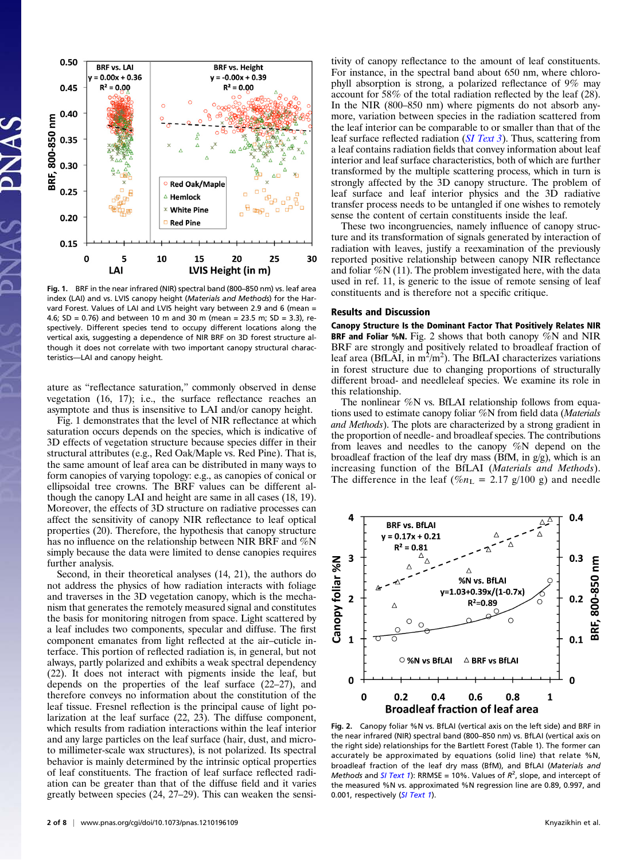

Fig. 1. BRF in the near infrared (NIR) spectral band (800–850 nm) vs. leaf area index (LAI) and vs. LVIS canopy height (Materials and Methods) for the Harvard Forest. Values of LAI and LVIS height vary between 2.9 and 6 (mean = 4.6; SD = 0.76) and between 10 m and 30 m (mean = 23.5 m; SD = 3.3), respectively. Different species tend to occupy different locations along the vertical axis, suggesting a dependence of NIR BRF on 3D forest structure although it does not correlate with two important canopy structural characteristics—LAI and canopy height.

ature as "reflectance saturation," commonly observed in dense vegetation (16, 17); i.e., the surface reflectance reaches an asymptote and thus is insensitive to LAI and/or canopy height.

Fig. 1 demonstrates that the level of NIR reflectance at which saturation occurs depends on the species, which is indicative of 3D effects of vegetation structure because species differ in their structural attributes (e.g., Red Oak/Maple vs. Red Pine). That is, the same amount of leaf area can be distributed in many ways to form canopies of varying topology: e.g., as canopies of conical or ellipsoidal tree crowns. The BRF values can be different although the canopy LAI and height are same in all cases (18, 19). Moreover, the effects of 3D structure on radiative processes can affect the sensitivity of canopy NIR reflectance to leaf optical properties (20). Therefore, the hypothesis that canopy structure has no influence on the relationship between NIR BRF and %N simply because the data were limited to dense canopies requires further analysis.

Second, in their theoretical analyses (14, 21), the authors do not address the physics of how radiation interacts with foliage and traverses in the 3D vegetation canopy, which is the mechanism that generates the remotely measured signal and constitutes the basis for monitoring nitrogen from space. Light scattered by a leaf includes two components, specular and diffuse. The first component emanates from light reflected at the air–cuticle interface. This portion of reflected radiation is, in general, but not always, partly polarized and exhibits a weak spectral dependency (22). It does not interact with pigments inside the leaf, but depends on the properties of the leaf surface (22–27), and therefore conveys no information about the constitution of the leaf tissue. Fresnel reflection is the principal cause of light polarization at the leaf surface (22, 23). The diffuse component, which results from radiation interactions within the leaf interior and any large particles on the leaf surface (hair, dust, and microto millimeter-scale wax structures), is not polarized. Its spectral behavior is mainly determined by the intrinsic optical properties of leaf constituents. The fraction of leaf surface reflected radiation can be greater than that of the diffuse field and it varies greatly between species (24, 27–29). This can weaken the sensitivity of canopy reflectance to the amount of leaf constituents. For instance, in the spectral band about 650 nm, where chlorophyll absorption is strong, a polarized reflectance of 9% may account for 58% of the total radiation reflected by the leaf (28). In the NIR (800–850 nm) where pigments do not absorb anymore, variation between species in the radiation scattered from the leaf interior can be comparable to or smaller than that of the leaf surface reflected radiation ([SI Text 3](http://www.pnas.org/lookup/suppl/doi:10.1073/pnas.1210196109/-/DCSupplemental/pnas.201210196SI.pdf?targetid=nameddest=STXT)). Thus, scattering from a leaf contains radiation fields that convey information about leaf interior and leaf surface characteristics, both of which are further transformed by the multiple scattering process, which in turn is strongly affected by the 3D canopy structure. The problem of leaf surface and leaf interior physics and the 3D radiative transfer process needs to be untangled if one wishes to remotely sense the content of certain constituents inside the leaf.

These two incongruencies, namely influence of canopy structure and its transformation of signals generated by interaction of radiation with leaves, justify a reexamination of the previously reported positive relationship between canopy NIR reflectance and foliar  $\%$ N (11). The problem investigated here, with the data used in ref. 11, is generic to the issue of remote sensing of leaf constituents and is therefore not a specific critique.

# Results and Discussion

Canopy Structure Is the Dominant Factor That Positively Relates NIR BRF and Foliar %N. Fig. 2 shows that both canopy  $\%$ N and NIR BRF are strongly and positively related to broadleaf fraction of leaf area (BfLAI, in  $m^2/m^2$ ). The BfLAI characterizes variations in forest structure due to changing proportions of structurally different broad- and needleleaf species. We examine its role in this relationship.

The nonlinear %N vs. BfLAI relationship follows from equations used to estimate canopy foliar %N from field data (Materials and Methods). The plots are characterized by a strong gradient in the proportion of needle- and broadleaf species. The contributions from leaves and needles to the canopy %N depend on the broadleaf fraction of the leaf dry mass (BfM, in g/g), which is an increasing function of the BfLAI (Materials and Methods). The difference in the leaf ( $\%n_L = 2.17 \text{ g}/100 \text{ g}$ ) and needle



Fig. 2. Canopy foliar %N vs. BfLAI (vertical axis on the left side) and BRF in the near infrared (NIR) spectral band (800–850 nm) vs. BfLAI (vertical axis on the right side) relationships for the Bartlett Forest (Table 1). The former can accurately be approximated by equations (solid line) that relate %N, broadleaf fraction of the leaf dry mass (BfM), and BfLAI (Materials and Methods and [SI Text 1](http://www.pnas.org/lookup/suppl/doi:10.1073/pnas.1210196109/-/DCSupplemental/pnas.201210196SI.pdf?targetid=nameddest=STXT)): RRMSE = 10%. Values of  $R^2$ , slope, and intercept of the measured %N vs. approximated %N regression line are 0.89, 0.997, and 0.001, respectively ([SI Text 1](http://www.pnas.org/lookup/suppl/doi:10.1073/pnas.1210196109/-/DCSupplemental/pnas.201210196SI.pdf?targetid=nameddest=STXT)).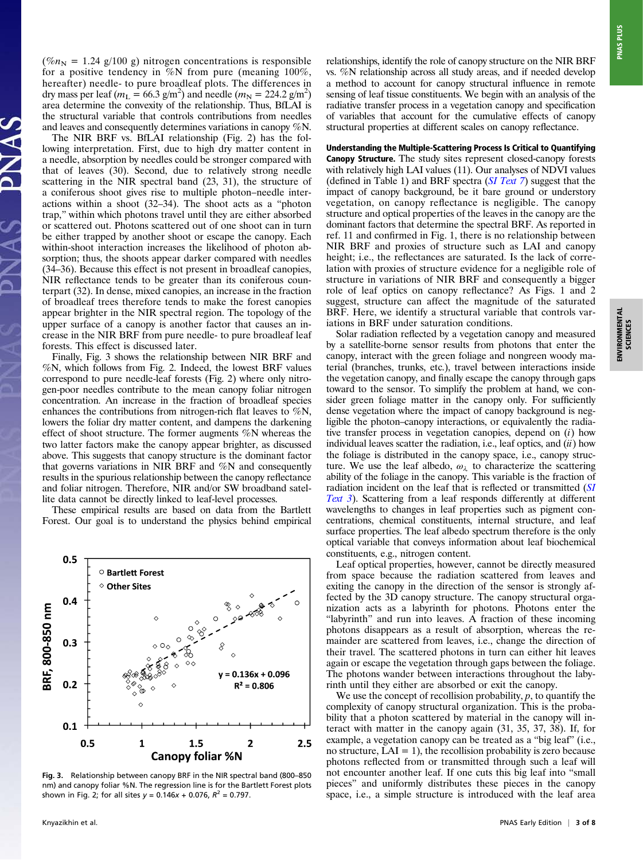( $\%$  $n_{\rm N}$  = 1.24 g/100 g) nitrogen concentrations is responsible for a positive tendency in  $\%$ N from pure (meaning 100%, hereafter) needle- to pure broadleaf plots. The differences in dry mass per leaf ( $m<sub>L</sub> = 66.3$  g/m<sup>2</sup>) and needle ( $m<sub>N</sub> = 224.2$  g/m<sup>2</sup>) area determine the convexity of the relationship. Thus, BfLAI is the structural variable that controls contributions from needles and leaves and consequently determines variations in canopy %N.

The NIR BRF vs. BfLAI relationship (Fig. 2) has the following interpretation. First, due to high dry matter content in a needle, absorption by needles could be stronger compared with that of leaves (30). Second, due to relatively strong needle scattering in the NIR spectral band (23, 31), the structure of a coniferous shoot gives rise to multiple photon–needle interactions within a shoot (32–34). The shoot acts as a "photon trap," within which photons travel until they are either absorbed or scattered out. Photons scattered out of one shoot can in turn be either trapped by another shoot or escape the canopy. Each within-shoot interaction increases the likelihood of photon absorption; thus, the shoots appear darker compared with needles (34–36). Because this effect is not present in broadleaf canopies, NIR reflectance tends to be greater than its coniferous counterpart (32). In dense, mixed canopies, an increase in the fraction of broadleaf trees therefore tends to make the forest canopies appear brighter in the NIR spectral region. The topology of the upper surface of a canopy is another factor that causes an increase in the NIR BRF from pure needle- to pure broadleaf leaf forests. This effect is discussed later.

Finally, Fig. 3 shows the relationship between NIR BRF and %N, which follows from Fig. 2. Indeed, the lowest BRF values correspond to pure needle-leaf forests (Fig. 2) where only nitrogen-poor needles contribute to the mean canopy foliar nitrogen concentration. An increase in the fraction of broadleaf species enhances the contributions from nitrogen-rich flat leaves to %N, lowers the foliar dry matter content, and dampens the darkening effect of shoot structure. The former augments %N whereas the two latter factors make the canopy appear brighter, as discussed above. This suggests that canopy structure is the dominant factor that governs variations in NIR BRF and  $\%$ N and consequently results in the spurious relationship between the canopy reflectance and foliar nitrogen. Therefore, NIR and/or SW broadband satellite data cannot be directly linked to leaf-level processes.

These empirical results are based on data from the Bartlett Forest. Our goal is to understand the physics behind empirical



Fig. 3. Relationship between canopy BRF in the NIR spectral band (800–850 nm) and canopy foliar %N. The regression line is for the Bartlett Forest plots shown in Fig. 2; for all sites  $y = 0.146x + 0.076$ ,  $R^2 = 0.797$ .

relationships, identify the role of canopy structure on the NIR BRF vs. %N relationship across all study areas, and if needed develop a method to account for canopy structural influence in remote sensing of leaf tissue constituents. We begin with an analysis of the radiative transfer process in a vegetation canopy and specification of variables that account for the cumulative effects of canopy structural properties at different scales on canopy reflectance.

Understanding the Multiple-Scattering Process Is Critical to Quantifying Canopy Structure. The study sites represent closed-canopy forests with relatively high LAI values (11). Our analyses of NDVI values (defined in Table 1) and BRF spectra ([SI Text 7](http://www.pnas.org/lookup/suppl/doi:10.1073/pnas.1210196109/-/DCSupplemental/pnas.201210196SI.pdf?targetid=nameddest=STXT)) suggest that the impact of canopy background, be it bare ground or understory vegetation, on canopy reflectance is negligible. The canopy structure and optical properties of the leaves in the canopy are the dominant factors that determine the spectral BRF. As reported in ref. 11 and confirmed in Fig. 1, there is no relationship between NIR BRF and proxies of structure such as LAI and canopy height; i.e., the reflectances are saturated. Is the lack of correlation with proxies of structure evidence for a negligible role of structure in variations of NIR BRF and consequently a bigger role of leaf optics on canopy reflectance? As Figs. 1 and 2 suggest, structure can affect the magnitude of the saturated BRF. Here, we identify a structural variable that controls variations in BRF under saturation conditions.

Solar radiation reflected by a vegetation canopy and measured by a satellite-borne sensor results from photons that enter the canopy, interact with the green foliage and nongreen woody material (branches, trunks, etc.), travel between interactions inside the vegetation canopy, and finally escape the canopy through gaps toward to the sensor. To simplify the problem at hand, we consider green foliage matter in the canopy only. For sufficiently dense vegetation where the impact of canopy background is negligible the photon–canopy interactions, or equivalently the radiative transfer process in vegetation canopies, depend on  $(i)$  how individual leaves scatter the radiation, i.e., leaf optics, and  $(ii)$  how the foliage is distributed in the canopy space, i.e., canopy structure. We use the leaf albedo,  $\omega_{\lambda}$  to characterize the scattering ability of the foliage in the canopy. This variable is the fraction of radiation incident on the leaf that is reflected or transmitted ([SI](http://www.pnas.org/lookup/suppl/doi:10.1073/pnas.1210196109/-/DCSupplemental/pnas.201210196SI.pdf?targetid=nameddest=STXT) [Text 3](http://www.pnas.org/lookup/suppl/doi:10.1073/pnas.1210196109/-/DCSupplemental/pnas.201210196SI.pdf?targetid=nameddest=STXT)). Scattering from a leaf responds differently at different wavelengths to changes in leaf properties such as pigment concentrations, chemical constituents, internal structure, and leaf surface properties. The leaf albedo spectrum therefore is the only optical variable that conveys information about leaf biochemical constituents, e.g., nitrogen content.

Leaf optical properties, however, cannot be directly measured from space because the radiation scattered from leaves and exiting the canopy in the direction of the sensor is strongly affected by the 3D canopy structure. The canopy structural organization acts as a labyrinth for photons. Photons enter the "labyrinth" and run into leaves. A fraction of these incoming photons disappears as a result of absorption, whereas the remainder are scattered from leaves, i.e., change the direction of their travel. The scattered photons in turn can either hit leaves again or escape the vegetation through gaps between the foliage. The photons wander between interactions throughout the labyrinth until they either are absorbed or exit the canopy.

We use the concept of recollision probability,  $p$ , to quantify the complexity of canopy structural organization. This is the probability that a photon scattered by material in the canopy will interact with matter in the canopy again (31, 35, 37, 38). If, for example, a vegetation canopy can be treated as a "big leaf" (i.e., no structure,  $LAI = 1$ ), the recollision probability is zero because photons reflected from or transmitted through such a leaf will not encounter another leaf. If one cuts this big leaf into "small pieces" and uniformly distributes these pieces in the canopy space, i.e., a simple structure is introduced with the leaf area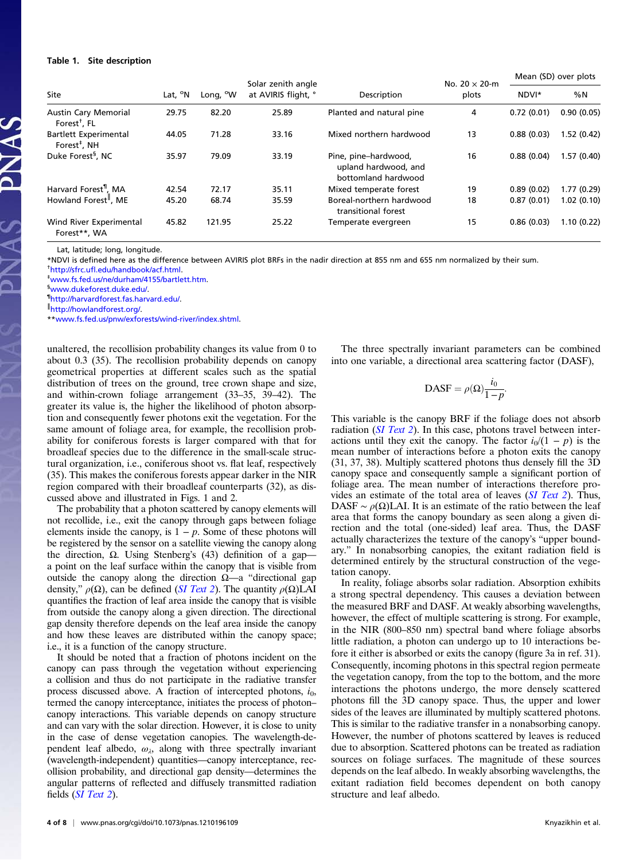# Table 1. Site description

| Site                                                     | Lat. <sup>o</sup> N | Long, <sup>o</sup> W | Solar zenith angle<br>at AVIRIS flight, ° | Description                                                         | No. $20 \times 20$ -m<br>plots | Mean (SD) over plots |            |
|----------------------------------------------------------|---------------------|----------------------|-------------------------------------------|---------------------------------------------------------------------|--------------------------------|----------------------|------------|
|                                                          |                     |                      |                                           |                                                                     |                                | NDVI*                | %N         |
| <b>Austin Cary Memorial</b><br>Forest <sup>†</sup> , FL  | 29.75               | 82.20                | 25.89                                     | Planted and natural pine                                            | 4                              | 0.72(0.01)           | 0.90(0.05) |
| <b>Bartlett Experimental</b><br>Forest <sup>#</sup> , NH | 44.05               | 71.28                | 33.16                                     | Mixed northern hardwood                                             | 13                             | 0.88(0.03)           | 1.52(0.42) |
| Duke Forest <sup>§</sup> , NC                            | 35.97               | 79.09                | 33.19                                     | Pine, pine-hardwood,<br>upland hardwood, and<br>bottomland hardwood | 16                             | 0.88(0.04)           | 1.57(0.40) |
| Harvard Forest <sup>1</sup> , MA                         | 42.54               | 72.17                | 35.11                                     | Mixed temperate forest                                              | 19                             | 0.89(0.02)           | 1.77(0.29) |
| Howland Forest <sup>1</sup> , ME                         | 45.20               | 68.74                | 35.59                                     | Boreal-northern hardwood<br>transitional forest                     | 18                             | 0.87(0.01)           | 1.02(0.10) |
| Wind River Experimental<br>Forest**, WA                  | 45.82               | 121.95               | 25.22                                     | Temperate evergreen                                                 | 15                             | 0.86(0.03)           | 1.10(0.22) |

Lat, latitude; long, longitude.

\*NDVI is defined here as the difference between AVIRIS plot BRFs in the nadir direction at 855 nm and 655 nm normalized by their sum. †

http://sfrc.ufl[.edu/handbook/acf.html.](http://sfrc.ufl.edu/handbook/acf.html) ‡

[www.fs.fed.us/ne/durham/4155/bartlett.htm.](www.fs.fed.us/ne/durham/4155/bartlett.htm)

§ [www.dukeforest.duke.edu/.](www.dukeforest.duke.edu/)

¶ <http://harvardforest.fas.harvard.edu/>.

║ [http://howlandforest.org/.](http://howlandforest.org/)

\*\*<www.fs.fed.us/pnw/exforests/wind-river/index.shtml>.

unaltered, the recollision probability changes its value from 0 to about 0.3 (35). The recollision probability depends on canopy geometrical properties at different scales such as the spatial distribution of trees on the ground, tree crown shape and size, and within-crown foliage arrangement (33–35, 39–42). The greater its value is, the higher the likelihood of photon absorption and consequently fewer photons exit the vegetation. For the same amount of foliage area, for example, the recollision probability for coniferous forests is larger compared with that for broadleaf species due to the difference in the small-scale structural organization, i.e., coniferous shoot vs. flat leaf, respectively (35). This makes the coniferous forests appear darker in the NIR region compared with their broadleaf counterparts (32), as discussed above and illustrated in Figs. 1 and 2.

The probability that a photon scattered by canopy elements will not recollide, i.e., exit the canopy through gaps between foliage elements inside the canopy, is  $1 - p$ . Some of these photons will be registered by the sensor on a satellite viewing the canopy along the direction, Ω. Using Stenberg's (43) definition of a gap a point on the leaf surface within the canopy that is visible from outside the canopy along the direction  $Ω$ —a "directional gap density,"  $\rho(\Omega)$ , can be defined ([SI Text 2](http://www.pnas.org/lookup/suppl/doi:10.1073/pnas.1210196109/-/DCSupplemental/pnas.201210196SI.pdf?targetid=nameddest=STXT)). The quantity  $\rho(\Omega)$ LAI quantifies the fraction of leaf area inside the canopy that is visible from outside the canopy along a given direction. The directional gap density therefore depends on the leaf area inside the canopy and how these leaves are distributed within the canopy space; i.e., it is a function of the canopy structure.

It should be noted that a fraction of photons incident on the canopy can pass through the vegetation without experiencing a collision and thus do not participate in the radiative transfer process discussed above. A fraction of intercepted photons,  $i_0$ , termed the canopy interceptance, initiates the process of photon– canopy interactions. This variable depends on canopy structure and can vary with the solar direction. However, it is close to unity in the case of dense vegetation canopies. The wavelength-dependent leaf albedo,  $\omega_{\lambda}$ , along with three spectrally invariant (wavelength-independent) quantities—canopy interceptance, recollision probability, and directional gap density—determines the angular patterns of reflected and diffusely transmitted radiation fields (*[SI Text 2](http://www.pnas.org/lookup/suppl/doi:10.1073/pnas.1210196109/-/DCSupplemental/pnas.201210196SI.pdf?targetid=nameddest=STXT)*).

The three spectrally invariant parameters can be combined into one variable, a directional area scattering factor (DASF),

$$
DASF = \rho(\Omega) \frac{i_0}{1 - p}.
$$

This variable is the canopy BRF if the foliage does not absorb radiation ([SI Text 2](http://www.pnas.org/lookup/suppl/doi:10.1073/pnas.1210196109/-/DCSupplemental/pnas.201210196SI.pdf?targetid=nameddest=STXT)). In this case, photons travel between interactions until they exit the canopy. The factor  $i_0/(1 - p)$  is the mean number of interactions before a photon exits the canopy (31, 37, 38). Multiply scattered photons thus densely fill the 3D canopy space and consequently sample a significant portion of foliage area. The mean number of interactions therefore provides an estimate of the total area of leaves ([SI Text 2](http://www.pnas.org/lookup/suppl/doi:10.1073/pnas.1210196109/-/DCSupplemental/pnas.201210196SI.pdf?targetid=nameddest=STXT)). Thus, DASF ~  $\rho(\Omega)$ LAI. It is an estimate of the ratio between the leaf area that forms the canopy boundary as seen along a given direction and the total (one-sided) leaf area. Thus, the DASF actually characterizes the texture of the canopy's "upper boundary." In nonabsorbing canopies, the exitant radiation field is determined entirely by the structural construction of the vegetation canopy.

In reality, foliage absorbs solar radiation. Absorption exhibits a strong spectral dependency. This causes a deviation between the measured BRF and DASF. At weakly absorbing wavelengths, however, the effect of multiple scattering is strong. For example, in the NIR (800–850 nm) spectral band where foliage absorbs little radiation, a photon can undergo up to 10 interactions before it either is absorbed or exits the canopy (figure 3a in ref. 31). Consequently, incoming photons in this spectral region permeate the vegetation canopy, from the top to the bottom, and the more interactions the photons undergo, the more densely scattered photons fill the 3D canopy space. Thus, the upper and lower sides of the leaves are illuminated by multiply scattered photons. This is similar to the radiative transfer in a nonabsorbing canopy. However, the number of photons scattered by leaves is reduced due to absorption. Scattered photons can be treated as radiation sources on foliage surfaces. The magnitude of these sources depends on the leaf albedo. In weakly absorbing wavelengths, the exitant radiation field becomes dependent on both canopy structure and leaf albedo.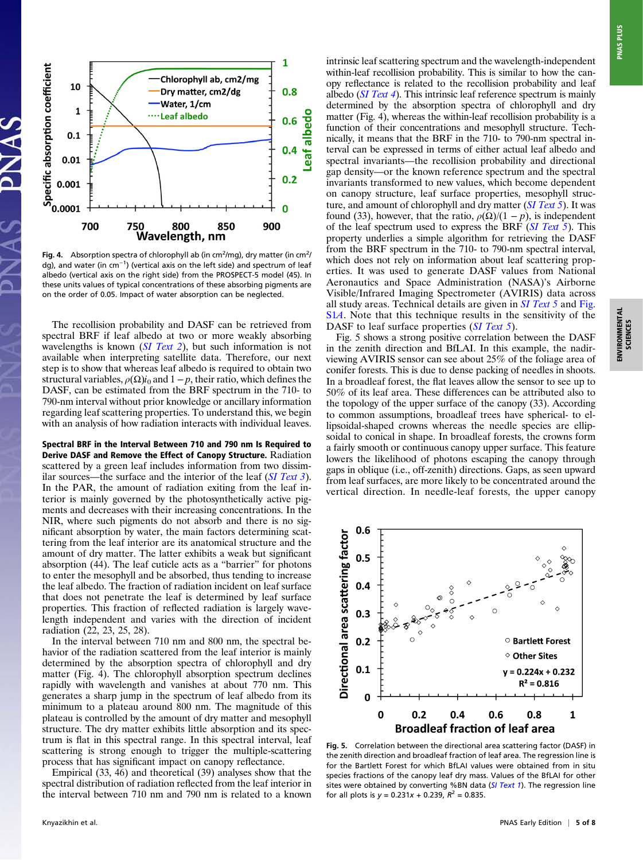ENVIRONMENTAL SCIENCES

**ENVIRONMENTAL**<br>SCIENCES



Fig. 4. Absorption spectra of chlorophyll ab (in cm<sup>2</sup>/mg), dry matter (in cm<sup>2</sup>/ dg), and water (in cm<sup>-1</sup>) (vertical axis on the left side) and spectrum of leaf albedo (vertical axis on the right side) from the PROSPECT-5 model (45). In these units values of typical concentrations of these absorbing pigments are on the order of 0.05. Impact of water absorption can be neglected.

The recollision probability and DASF can be retrieved from spectral BRF if leaf albedo at two or more weakly absorbing wavelengths is known  $(SI \text{ Text } 2)$ , but such information is not available when interpreting satellite data. Therefore, our next step is to show that whereas leaf albedo is required to obtain two structural variables,  $\rho(\Omega)i_0$  and  $1 - p$ , their ratio, which defines the DASF, can be estimated from the BRF spectrum in the 710- to 790-nm interval without prior knowledge or ancillary information regarding leaf scattering properties. To understand this, we begin with an analysis of how radiation interacts with individual leaves.

Spectral BRF in the Interval Between 710 and 790 nm Is Required to Derive DASF and Remove the Effect of Canopy Structure. Radiation scattered by a green leaf includes information from two dissimilar sources—the surface and the interior of the leaf ([SI Text 3](http://www.pnas.org/lookup/suppl/doi:10.1073/pnas.1210196109/-/DCSupplemental/pnas.201210196SI.pdf?targetid=nameddest=STXT)). In the PAR, the amount of radiation exiting from the leaf interior is mainly governed by the photosynthetically active pigments and decreases with their increasing concentrations. In the NIR, where such pigments do not absorb and there is no significant absorption by water, the main factors determining scattering from the leaf interior are its anatomical structure and the amount of dry matter. The latter exhibits a weak but significant absorption (44). The leaf cuticle acts as a "barrier" for photons to enter the mesophyll and be absorbed, thus tending to increase the leaf albedo. The fraction of radiation incident on leaf surface that does not penetrate the leaf is determined by leaf surface properties. This fraction of reflected radiation is largely wavelength independent and varies with the direction of incident radiation (22, 23, 25, 28).

In the interval between 710 nm and 800 nm, the spectral behavior of the radiation scattered from the leaf interior is mainly determined by the absorption spectra of chlorophyll and dry matter (Fig. 4). The chlorophyll absorption spectrum declines rapidly with wavelength and vanishes at about 770 nm. This generates a sharp jump in the spectrum of leaf albedo from its minimum to a plateau around 800 nm. The magnitude of this plateau is controlled by the amount of dry matter and mesophyll structure. The dry matter exhibits little absorption and its spectrum is flat in this spectral range. In this spectral interval, leaf scattering is strong enough to trigger the multiple-scattering process that has significant impact on canopy reflectance.

Empirical (33, 46) and theoretical (39) analyses show that the spectral distribution of radiation reflected from the leaf interior in the interval between 710 nm and 790 nm is related to a known

intrinsic leaf scattering spectrum and the wavelength-independent within-leaf recollision probability. This is similar to how the canopy reflectance is related to the recollision probability and leaf albedo ([SI Text 4](http://www.pnas.org/lookup/suppl/doi:10.1073/pnas.1210196109/-/DCSupplemental/pnas.201210196SI.pdf?targetid=nameddest=STXT)). This intrinsic leaf reference spectrum is mainly determined by the absorption spectra of chlorophyll and dry matter (Fig. 4), whereas the within-leaf recollision probability is a function of their concentrations and mesophyll structure. Technically, it means that the BRF in the 710- to 790-nm spectral interval can be expressed in terms of either actual leaf albedo and spectral invariants—the recollision probability and directional gap density—or the known reference spectrum and the spectral invariants transformed to new values, which become dependent on canopy structure, leaf surface properties, mesophyll struc-ture, and amount of chlorophyll and dry matter ([SI Text 5](http://www.pnas.org/lookup/suppl/doi:10.1073/pnas.1210196109/-/DCSupplemental/pnas.201210196SI.pdf?targetid=nameddest=STXT)). It was found (33), however, that the ratio,  $\rho(\Omega)/(1 - p)$ , is independent of the leaf spectrum used to express the BRF  $(SI \text{ Text } 5)$ . This property underlies a simple algorithm for retrieving the DASF from the BRF spectrum in the 710- to 790-nm spectral interval, which does not rely on information about leaf scattering properties. It was used to generate DASF values from National Aeronautics and Space Administration (NASA)'s Airborne Visible/Infrared Imaging Spectrometer (AVIRIS) data across all study areas. Technical details are given in [SI Text 5](http://www.pnas.org/lookup/suppl/doi:10.1073/pnas.1210196109/-/DCSupplemental/pnas.201210196SI.pdf?targetid=nameddest=STXT) and [Fig.](http://www.pnas.org/lookup/suppl/doi:10.1073/pnas.1210196109/-/DCSupplemental/pnas.201210196SI.pdf?targetid=nameddest=SF1) [S1](http://www.pnas.org/lookup/suppl/doi:10.1073/pnas.1210196109/-/DCSupplemental/pnas.201210196SI.pdf?targetid=nameddest=SF1)A. Note that this technique results in the sensitivity of the DASF to leaf surface properties ([SI Text 5](http://www.pnas.org/lookup/suppl/doi:10.1073/pnas.1210196109/-/DCSupplemental/pnas.201210196SI.pdf?targetid=nameddest=STXT)).

Fig. 5 shows a strong positive correlation between the DASF in the zenith direction and BfLAI. In this example, the nadirviewing AVIRIS sensor can see about 25% of the foliage area of conifer forests. This is due to dense packing of needles in shoots. In a broadleaf forest, the flat leaves allow the sensor to see up to 50% of its leaf area. These differences can be attributed also to the topology of the upper surface of the canopy (33). According to common assumptions, broadleaf trees have spherical- to ellipsoidal-shaped crowns whereas the needle species are ellipsoidal to conical in shape. In broadleaf forests, the crowns form a fairly smooth or continuous canopy upper surface. This feature lowers the likelihood of photons escaping the canopy through gaps in oblique (i.e., off-zenith) directions. Gaps, as seen upward from leaf surfaces, are more likely to be concentrated around the vertical direction. In needle-leaf forests, the upper canopy



Fig. 5. Correlation between the directional area scattering factor (DASF) in the zenith direction and broadleaf fraction of leaf area. The regression line is for the Bartlett Forest for which BfLAI values were obtained from in situ species fractions of the canopy leaf dry mass. Values of the BfLAI for other sites were obtained by converting %BN data  $(SI Text 1)$  $(SI Text 1)$  $(SI Text 1)$ . The regression line for all plots is  $y = 0.231x + 0.239$ ,  $R^2 = 0.835$ .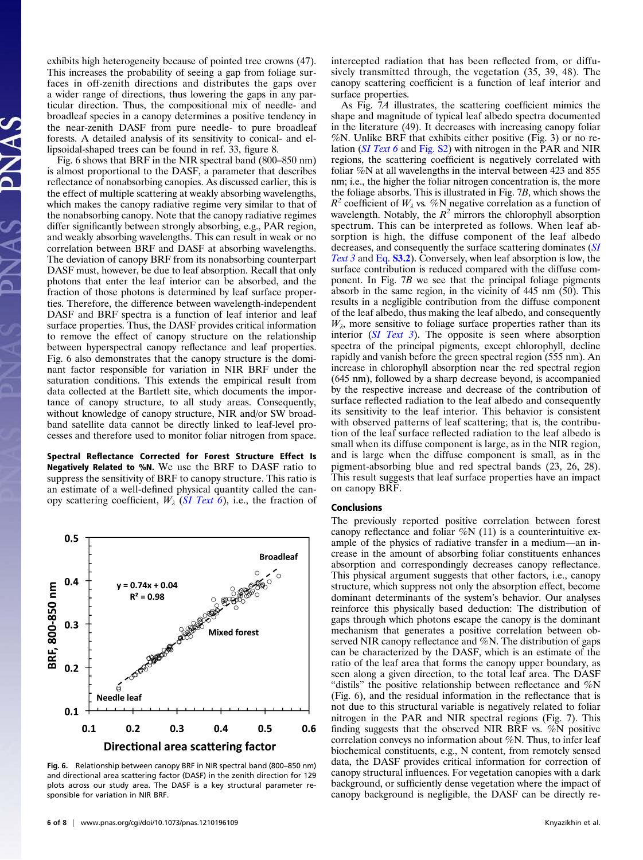exhibits high heterogeneity because of pointed tree crowns (47). This increases the probability of seeing a gap from foliage surfaces in off-zenith directions and distributes the gaps over a wider range of directions, thus lowering the gaps in any particular direction. Thus, the compositional mix of needle- and broadleaf species in a canopy determines a positive tendency in the near-zenith DASF from pure needle- to pure broadleaf forests. A detailed analysis of its sensitivity to conical- and ellipsoidal-shaped trees can be found in ref. 33, figure 8.

Fig. 6 shows that BRF in the NIR spectral band (800–850 nm) is almost proportional to the DASF, a parameter that describes reflectance of nonabsorbing canopies. As discussed earlier, this is the effect of multiple scattering at weakly absorbing wavelengths, which makes the canopy radiative regime very similar to that of the nonabsorbing canopy. Note that the canopy radiative regimes differ significantly between strongly absorbing, e.g., PAR region, and weakly absorbing wavelengths. This can result in weak or no correlation between BRF and DASF at absorbing wavelengths. The deviation of canopy BRF from its nonabsorbing counterpart DASF must, however, be due to leaf absorption. Recall that only photons that enter the leaf interior can be absorbed, and the fraction of those photons is determined by leaf surface properties. Therefore, the difference between wavelength-independent DASF and BRF spectra is a function of leaf interior and leaf surface properties. Thus, the DASF provides critical information to remove the effect of canopy structure on the relationship between hyperspectral canopy reflectance and leaf properties. Fig. 6 also demonstrates that the canopy structure is the dominant factor responsible for variation in NIR BRF under the saturation conditions. This extends the empirical result from data collected at the Bartlett site, which documents the importance of canopy structure, to all study areas. Consequently, without knowledge of canopy structure, NIR and/or SW broadband satellite data cannot be directly linked to leaf-level processes and therefore used to monitor foliar nitrogen from space.

Spectral Reflectance Corrected for Forest Structure Effect Is Negatively Related to %N. We use the BRF to DASF ratio to suppress the sensitivity of BRF to canopy structure. This ratio is an estimate of a well-defined physical quantity called the canopy scattering coefficient,  $W_{\lambda}$  ([SI Text 6](http://www.pnas.org/lookup/suppl/doi:10.1073/pnas.1210196109/-/DCSupplemental/pnas.201210196SI.pdf?targetid=nameddest=STXT)), i.e., the fraction of



Fig. 6. Relationship between canopy BRF in NIR spectral band (800–850 nm) and directional area scattering factor (DASF) in the zenith direction for 129 plots across our study area. The DASF is a key structural parameter responsible for variation in NIR BRF.

intercepted radiation that has been reflected from, or diffusively transmitted through, the vegetation (35, 39, 48). The canopy scattering coefficient is a function of leaf interior and surface properties.

As Fig. 7A illustrates, the scattering coefficient mimics the shape and magnitude of typical leaf albedo spectra documented in the literature (49). It decreases with increasing canopy foliar %N. Unlike BRF that exhibits either positive (Fig. 3) or no relation ([SI Text 6](http://www.pnas.org/lookup/suppl/doi:10.1073/pnas.1210196109/-/DCSupplemental/pnas.201210196SI.pdf?targetid=nameddest=STXT) and [Fig. S2\)](http://www.pnas.org/lookup/suppl/doi:10.1073/pnas.1210196109/-/DCSupplemental/pnas.201210196SI.pdf?targetid=nameddest=SF2) with nitrogen in the PAR and NIR regions, the scattering coefficient is negatively correlated with foliar %N at all wavelengths in the interval between 423 and 855 nm; i.e., the higher the foliar nitrogen concentration is, the more the foliage absorbs. This is illustrated in Fig. 7B, which shows the  $R^2$  coefficient of  $W_\lambda$  vs. %N negative correlation as a function of wavelength. Notably, the  $R^2$  mirrors the chlorophyll absorption spectrum. This can be interpreted as follows. When leaf absorption is high, the diffuse component of the leaf albedo decreases, and consequently the surface scattering dominates ([SI](http://www.pnas.org/lookup/suppl/doi:10.1073/pnas.1210196109/-/DCSupplemental/pnas.201210196SI.pdf?targetid=nameddest=STXT) [Text 3](http://www.pnas.org/lookup/suppl/doi:10.1073/pnas.1210196109/-/DCSupplemental/pnas.201210196SI.pdf?targetid=nameddest=STXT) and Eq. [S3.2](http://www.pnas.org/lookup/suppl/doi:10.1073/pnas.1210196109/-/DCSupplemental/pnas.201210196SI.pdf?targetid=nameddest=STXT)). Conversely, when leaf absorption is low, the surface contribution is reduced compared with the diffuse component. In Fig. 7B we see that the principal foliage pigments absorb in the same region, in the vicinity of 445 nm (50). This results in a negligible contribution from the diffuse component of the leaf albedo, thus making the leaf albedo, and consequently  $W_{\lambda}$ , more sensitive to foliage surface properties rather than its interior  $(SI \text{ Text } 3)$ . The opposite is seen where absorption spectra of the principal pigments, except chlorophyll, decline rapidly and vanish before the green spectral region (555 nm). An increase in chlorophyll absorption near the red spectral region (645 nm), followed by a sharp decrease beyond, is accompanied by the respective increase and decrease of the contribution of surface reflected radiation to the leaf albedo and consequently its sensitivity to the leaf interior. This behavior is consistent with observed patterns of leaf scattering; that is, the contribution of the leaf surface reflected radiation to the leaf albedo is small when its diffuse component is large, as in the NIR region, and is large when the diffuse component is small, as in the pigment-absorbing blue and red spectral bands (23, 26, 28). This result suggests that leaf surface properties have an impact on canopy BRF.

### Conclusions

The previously reported positive correlation between forest canopy reflectance and foliar  $\%$ N (11) is a counterintuitive example of the physics of radiative transfer in a medium—an increase in the amount of absorbing foliar constituents enhances absorption and correspondingly decreases canopy reflectance. This physical argument suggests that other factors, i.e., canopy structure, which suppress not only the absorption effect, become dominant determinants of the system's behavior. Our analyses reinforce this physically based deduction: The distribution of gaps through which photons escape the canopy is the dominant mechanism that generates a positive correlation between observed NIR canopy reflectance and %N. The distribution of gaps can be characterized by the DASF, which is an estimate of the ratio of the leaf area that forms the canopy upper boundary, as seen along a given direction, to the total leaf area. The DASF "distils" the positive relationship between reflectance and %N (Fig. 6), and the residual information in the reflectance that is not due to this structural variable is negatively related to foliar nitrogen in the PAR and NIR spectral regions (Fig. 7). This finding suggests that the observed NIR BRF vs. %N positive correlation conveys no information about %N. Thus, to infer leaf biochemical constituents, e.g., N content, from remotely sensed data, the DASF provides critical information for correction of canopy structural influences. For vegetation canopies with a dark background, or sufficiently dense vegetation where the impact of canopy background is negligible, the DASF can be directly re-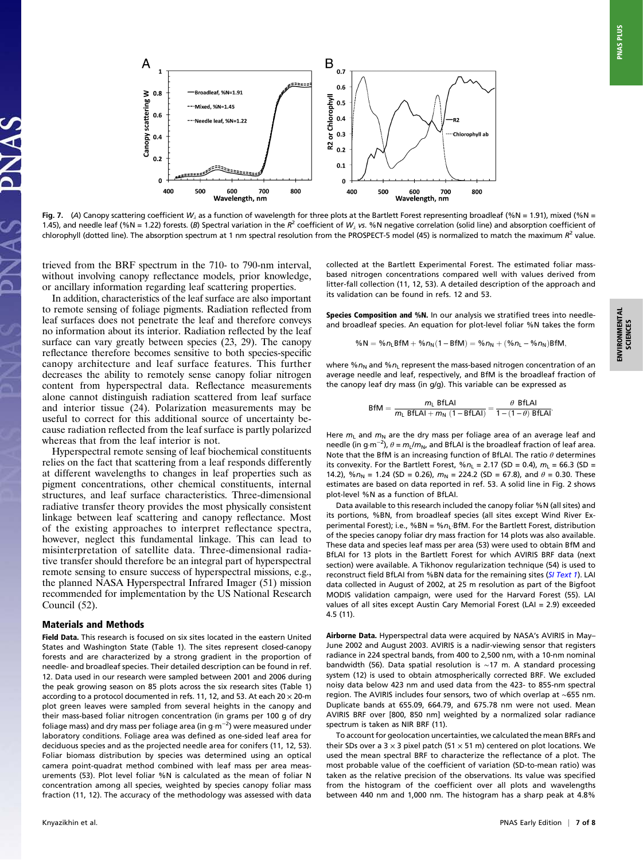

Fig. 7. (A) Canopy scattering coefficient  $W_\lambda$  as a function of wavelength for three plots at the Bartlett Forest representing broadleaf (%N = 1.91), mixed (%N = 1.45), and needle leaf (%N = 1.22) forests. (B) Spectral variation in the  $R^2$  coefficient of W<sub>2</sub> vs. %N negative correlation (solid line) and absorption coefficient of chlorophyll (dotted line). The absorption spectrum at 1 nm spectral resolution from the PROSPECT-5 model (45) is normalized to match the maximum  $R^2$  value.

trieved from the BRF spectrum in the 710- to 790-nm interval, without involving canopy reflectance models, prior knowledge, or ancillary information regarding leaf scattering properties.

In addition, characteristics of the leaf surface are also important to remote sensing of foliage pigments. Radiation reflected from leaf surfaces does not penetrate the leaf and therefore conveys no information about its interior. Radiation reflected by the leaf surface can vary greatly between species (23, 29). The canopy reflectance therefore becomes sensitive to both species-specific canopy architecture and leaf surface features. This further decreases the ability to remotely sense canopy foliar nitrogen content from hyperspectral data. Reflectance measurements alone cannot distinguish radiation scattered from leaf surface and interior tissue (24). Polarization measurements may be useful to correct for this additional source of uncertainty because radiation reflected from the leaf surface is partly polarized whereas that from the leaf interior is not.

Hyperspectral remote sensing of leaf biochemical constituents relies on the fact that scattering from a leaf responds differently at different wavelengths to changes in leaf properties such as pigment concentrations, other chemical constituents, internal structures, and leaf surface characteristics. Three-dimensional radiative transfer theory provides the most physically consistent linkage between leaf scattering and canopy reflectance. Most of the existing approaches to interpret reflectance spectra, however, neglect this fundamental linkage. This can lead to misinterpretation of satellite data. Three-dimensional radiative transfer should therefore be an integral part of hyperspectral remote sensing to ensure success of hyperspectral missions, e.g., the planned NASA Hyperspectral Infrared Imager (51) mission recommended for implementation by the US National Research Council (52).

### Materials and Methods

Field Data. This research is focused on six sites located in the eastern United States and Washington State (Table 1). The sites represent closed-canopy forests and are characterized by a strong gradient in the proportion of needle- and broadleaf species. Their detailed description can be found in ref. 12. Data used in our research were sampled between 2001 and 2006 during the peak growing season on 85 plots across the six research sites (Table 1) according to a protocol documented in refs. 11, 12, and 53. At each 20  $\times$  20-m plot green leaves were sampled from several heights in the canopy and their mass-based foliar nitrogen concentration (in grams per 100 g of dry foliage mass) and dry mass per foliage area (in g·m<sup>−2</sup>) were measured under laboratory conditions. Foliage area was defined as one-sided leaf area for deciduous species and as the projected needle area for conifers (11, 12, 53). Foliar biomass distribution by species was determined using an optical camera point-quadrat method combined with leaf mass per area measurements (53). Plot level foliar %N is calculated as the mean of foliar N concentration among all species, weighted by species canopy foliar mass fraction (11, 12). The accuracy of the methodology was assessed with data

collected at the Bartlett Experimental Forest. The estimated foliar massbased nitrogen concentrations compared well with values derived from litter-fall collection (11, 12, 53). A detailed description of the approach and its validation can be found in refs. 12 and 53.

Species Composition and %N. In our analysis we stratified trees into needleand broadleaf species. An equation for plot-level foliar %N takes the form

$$
\%N = \%n_L BfM + \%n_N(1 - BfM) = \%n_N + (%n_L - \%n_N)BfM,
$$

where  $\%n_N$  and  $\%n_L$  represent the mass-based nitrogen concentration of an average needle and leaf, respectively, and BfM is the broadleaf fraction of the canopy leaf dry mass (in g/g). This variable can be expressed as

$$
\text{BfM} = \frac{m_{\text{L}} \text{BfLAI}}{m_{\text{L}} \text{BfLAI} + m_{\text{N}} \left(1 - \text{BfLAI}\right)} = \frac{\theta \text{BfLAI}}{1 - (1 - \theta) \text{BfLAI}}.
$$

Here  $m_{L}$  and  $m_{N}$  are the dry mass per foliage area of an average leaf and needle (in g·m<sup>-2</sup>),  $\theta = m_l/m_N$ , and BfLAI is the broadleaf fraction of leaf area. Note that the BfM is an increasing function of BfLAI. The ratio  $\theta$  determines its convexity. For the Bartlett Forest,  $\%n_{\text{L}} = 2.17$  (SD = 0.4),  $m_{\text{L}} = 66.3$  (SD = 14.2), % $n_N$  = 1.24 (SD = 0.26),  $m_N$  = 224.2 (SD = 67.8), and  $\theta$  = 0.30. These estimates are based on data reported in ref. 53. A solid line in Fig. 2 shows plot-level %N as a function of BfLAI.

Data available to this research included the canopy foliar %N (all sites) and its portions, %BN, from broadleaf species (all sites except Wind River Experimental Forest); i.e., %BN = % $n_1$ ·BfM. For the Bartlett Forest, distribution of the species canopy foliar dry mass fraction for 14 plots was also available. These data and species leaf mass per area (53) were used to obtain BfM and BfLAI for 13 plots in the Bartlett Forest for which AVIRIS BRF data (next section) were available. A Tikhonov regularization technique (54) is used to reconstruct field BfLAI from %BN data for the remaining sites ([SI Text 1](http://www.pnas.org/lookup/suppl/doi:10.1073/pnas.1210196109/-/DCSupplemental/pnas.201210196SI.pdf?targetid=nameddest=STXT)). LAI data collected in August of 2002, at 25 m resolution as part of the Bigfoot MODIS validation campaign, were used for the Harvard Forest (55). LAI values of all sites except Austin Cary Memorial Forest (LAI = 2.9) exceeded 4.5 (11).

Airborne Data. Hyperspectral data were acquired by NASA's AVIRIS in May– June 2002 and August 2003. AVIRIS is a nadir-viewing sensor that registers radiance in 224 spectral bands, from 400 to 2,500 nm, with a 10-nm nominal bandwidth (56). Data spatial resolution is ∼17 m. A standard processing system (12) is used to obtain atmospherically corrected BRF. We excluded noisy data below 423 nm and used data from the 423- to 855-nm spectral region. The AVIRIS includes four sensors, two of which overlap at ∼655 nm. Duplicate bands at 655.09, 664.79, and 675.78 nm were not used. Mean AVIRIS BRF over [800, 850 nm] weighted by a normalized solar radiance spectrum is taken as NIR BRF (11).

To account for geolocation uncertainties, we calculated the mean BRFs and their SDs over a 3  $\times$  3 pixel patch (51  $\times$  51 m) centered on plot locations. We used the mean spectral BRF to characterize the reflectance of a plot. The most probable value of the coefficient of variation (SD-to-mean ratio) was taken as the relative precision of the observations. Its value was specified from the histogram of the coefficient over all plots and wavelengths between 440 nm and 1,000 nm. The histogram has a sharp peak at 4.8%